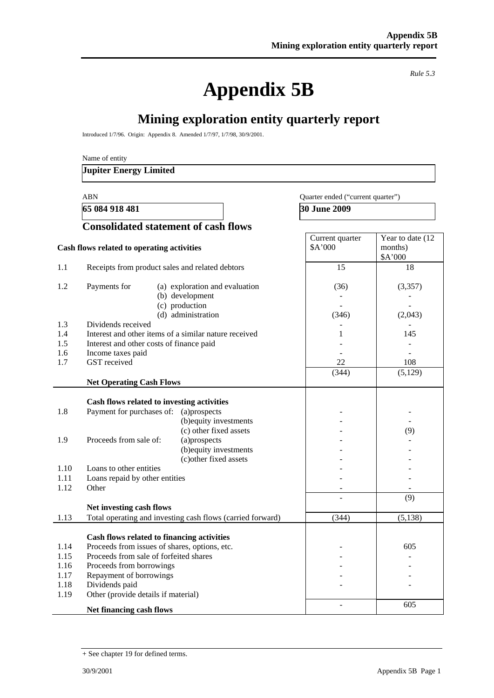**Appendix 5B** 

*Rule 5.3* 

# **Mining exploration entity quarterly report**

Introduced 1/7/96. Origin: Appendix 8. Amended 1/7/97, 1/7/98, 30/9/2001.

Name of entity

#### **Jupiter Energy Limited**

**65 084 918 481 30 June 2009** 

#### ABN Quarter ended ("current quarter")

### **Consolidated statement of cash flows**

| Cash flows related to operating activities |                                                               | Current quarter<br>\$A'000 | Year to date (12<br>months)<br>\$A'000 |
|--------------------------------------------|---------------------------------------------------------------|----------------------------|----------------------------------------|
| 1.1                                        | Receipts from product sales and related debtors               | 15                         | 18                                     |
| 1.2                                        | Payments for<br>(a) exploration and evaluation                | (36)                       | (3,357)                                |
|                                            | (b) development                                               |                            |                                        |
|                                            | (c) production                                                |                            | ÷.                                     |
|                                            | (d) administration                                            | (346)                      | (2,043)                                |
| 1.3                                        | Dividends received                                            |                            |                                        |
| 1.4<br>1.5                                 | Interest and other items of a similar nature received         | 1                          | 145                                    |
| 1.6                                        | Interest and other costs of finance paid<br>Income taxes paid |                            |                                        |
| 1.7                                        | GST received                                                  | 22                         | 108                                    |
|                                            |                                                               | (344)                      | (5,129)                                |
|                                            | <b>Net Operating Cash Flows</b>                               |                            |                                        |
|                                            |                                                               |                            |                                        |
|                                            | Cash flows related to investing activities                    |                            |                                        |
| 1.8                                        | Payment for purchases of:<br>(a)prospects                     |                            |                                        |
|                                            | (b) equity investments                                        |                            |                                        |
|                                            | (c) other fixed assets                                        |                            | (9)                                    |
| 1.9                                        | Proceeds from sale of:<br>(a)prospects                        |                            |                                        |
|                                            | (b) equity investments                                        |                            |                                        |
|                                            | (c) other fixed assets                                        |                            |                                        |
| 1.10                                       | Loans to other entities                                       |                            |                                        |
| 1.11<br>1.12                               | Loans repaid by other entities<br>Other                       |                            |                                        |
|                                            |                                                               |                            |                                        |
|                                            | Net investing cash flows                                      |                            | (9)                                    |
| 1.13                                       | Total operating and investing cash flows (carried forward)    | (344)                      | (5, 138)                               |
|                                            |                                                               |                            |                                        |
|                                            | Cash flows related to financing activities                    |                            |                                        |
| 1.14                                       | Proceeds from issues of shares, options, etc.                 |                            | 605                                    |
| 1.15                                       | Proceeds from sale of forfeited shares                        |                            |                                        |
| 1.16                                       | Proceeds from borrowings                                      |                            |                                        |
| 1.17                                       | Repayment of borrowings                                       |                            |                                        |
| 1.18                                       | Dividends paid                                                |                            |                                        |
| 1.19                                       | Other (provide details if material)                           |                            |                                        |
|                                            | Net financing cash flows                                      |                            | 605                                    |

<sup>+</sup> See chapter 19 for defined terms.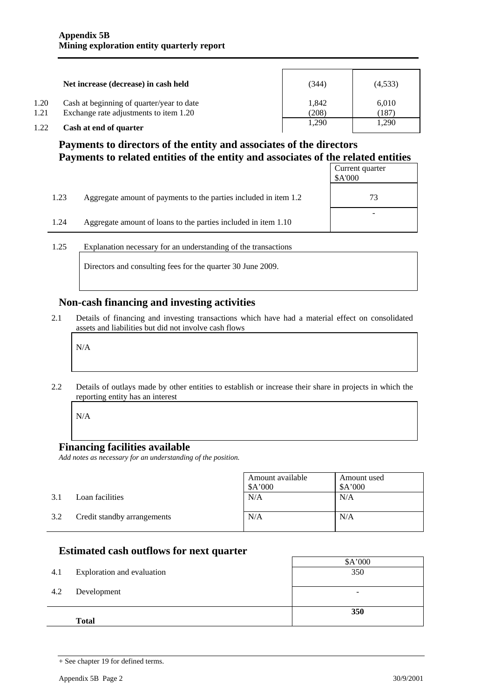|      | Net increase (decrease) in cash held      | (344) | (4,533) |
|------|-------------------------------------------|-------|---------|
| 1.20 | Cash at beginning of quarter/year to date | 1.842 | 6.010   |
| 1.21 | Exchange rate adjustments to item 1.20    | (208) | (187)   |
| 1.22 | Cash at end of quarter                    | 1.290 | 1,290   |

## **Payments to directors of the entity and associates of the directors Payments to related entities of the entity and associates of the related entities**

|      |                                                                  | Current quarter<br>\$A'000 |
|------|------------------------------------------------------------------|----------------------------|
| 1.23 | Aggregate amount of payments to the parties included in item 1.2 | 73                         |
| 1.24 | Aggregate amount of loans to the parties included in item 1.10   |                            |

1.25 Explanation necessary for an understanding of the transactions

Directors and consulting fees for the quarter 30 June 2009.

### **Non-cash financing and investing activities**

2.1 Details of financing and investing transactions which have had a material effect on consolidated assets and liabilities but did not involve cash flows

N/A

2.2 Details of outlays made by other entities to establish or increase their share in projects in which the reporting entity has an interest

N/A

#### **Financing facilities available**

*Add notes as necessary for an understanding of the position.* 

|     |                             | Amount available<br>A'000 | Amount used<br>\$A'000 |
|-----|-----------------------------|---------------------------|------------------------|
| 3.1 | Loan facilities             | N/A                       | N/A                    |
| 3.2 | Credit standby arrangements | N/A                       | N/A                    |

## **Estimated cash outflows for next quarter**

| 4.1 | Exploration and evaluation | \$A'000<br>350           |
|-----|----------------------------|--------------------------|
| 4.2 | Development                | $\overline{\phantom{0}}$ |
|     |                            |                          |
|     | <b>Total</b>               | 350                      |

<sup>+</sup> See chapter 19 for defined terms.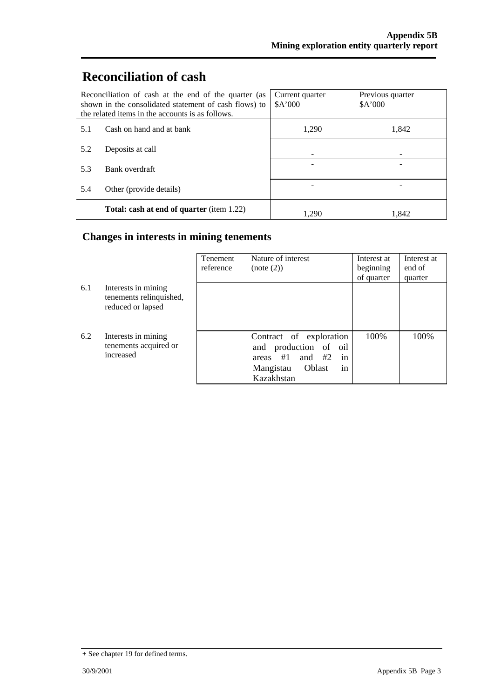# **Reconciliation of cash**

| Reconciliation of cash at the end of the quarter (as<br>shown in the consolidated statement of cash flows) to<br>the related items in the accounts is as follows. |                                                  | Current quarter<br>A'000 | Previous quarter<br>A'000 |
|-------------------------------------------------------------------------------------------------------------------------------------------------------------------|--------------------------------------------------|--------------------------|---------------------------|
| 5.1                                                                                                                                                               | Cash on hand and at bank                         | 1,290                    | 1,842                     |
| 5.2                                                                                                                                                               | Deposits at call                                 |                          |                           |
| 5.3                                                                                                                                                               | Bank overdraft                                   |                          |                           |
| 5.4                                                                                                                                                               | Other (provide details)                          |                          |                           |
|                                                                                                                                                                   | <b>Total: cash at end of quarter (item 1.22)</b> | 1.290                    | 1.842                     |

## **Changes in interests in mining tenements**

|     |                                                                     | <b>Tenement</b><br>reference | Nature of interest<br>(note (2))                                                                                               | Interest at<br>beginning<br>of quarter | Interest at<br>end of<br>quarter |
|-----|---------------------------------------------------------------------|------------------------------|--------------------------------------------------------------------------------------------------------------------------------|----------------------------------------|----------------------------------|
| 6.1 | Interests in mining<br>tenements relinquished,<br>reduced or lapsed |                              |                                                                                                                                |                                        |                                  |
| 6.2 | Interests in mining<br>tenements acquired or<br>increased           |                              | Contract of exploration<br>production of oil<br>and<br>and $#2$<br>in<br>areas $#1$<br>Oblast<br>Mangistau<br>in<br>Kazakhstan | 100%                                   | 100%                             |

<sup>+</sup> See chapter 19 for defined terms.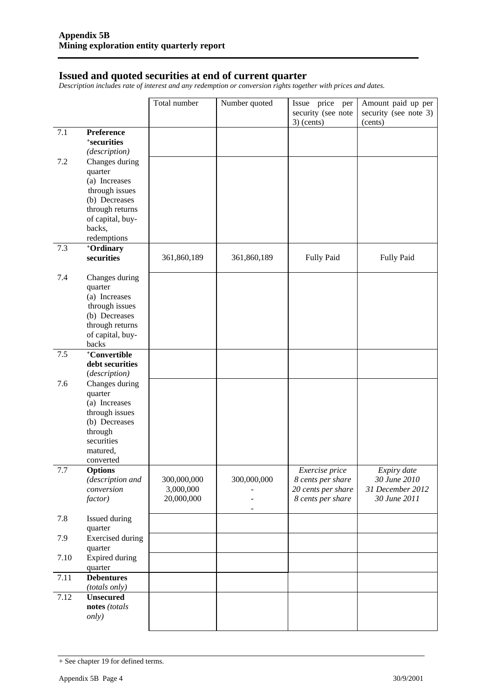#### **Issued and quoted securities at end of current quarter**

*Description includes rate of interest and any redemption or conversion rights together with prices and dates.* 

|      |                                                                                                                                 | Total number                           | Number quoted | Issue price per<br>security (see note<br>$3)$ (cents)                          | Amount paid up per<br>security (see note 3)<br>(cents)          |
|------|---------------------------------------------------------------------------------------------------------------------------------|----------------------------------------|---------------|--------------------------------------------------------------------------------|-----------------------------------------------------------------|
| 7.1  | Preference<br>+securities<br>(description)                                                                                      |                                        |               |                                                                                |                                                                 |
| 7.2  | Changes during<br>quarter<br>(a) Increases                                                                                      |                                        |               |                                                                                |                                                                 |
|      | through issues<br>(b) Decreases                                                                                                 |                                        |               |                                                                                |                                                                 |
|      | through returns<br>of capital, buy-<br>backs,                                                                                   |                                        |               |                                                                                |                                                                 |
| 7.3  | redemptions                                                                                                                     |                                        |               |                                                                                |                                                                 |
|      | +Ordinary<br>securities                                                                                                         | 361,860,189                            | 361,860,189   | <b>Fully Paid</b>                                                              | Fully Paid                                                      |
| 7.4  | Changes during<br>quarter<br>(a) Increases<br>through issues<br>(b) Decreases<br>through returns<br>of capital, buy-<br>backs   |                                        |               |                                                                                |                                                                 |
| 7.5  | +Convertible<br>debt securities<br>(description)                                                                                |                                        |               |                                                                                |                                                                 |
| 7.6  | Changes during<br>quarter<br>(a) Increases<br>through issues<br>(b) Decreases<br>through<br>securities<br>matured,<br>converted |                                        |               |                                                                                |                                                                 |
| 7.7  | <b>Options</b><br>(description and<br>conversion<br><i>factor</i> )                                                             | 300,000,000<br>3,000,000<br>20,000,000 | 300,000,000   | Exercise price<br>8 cents per share<br>20 cents per share<br>8 cents per share | Expiry date<br>30 June 2010<br>31 December 2012<br>30 June 2011 |
| 7.8  | Issued during<br>quarter                                                                                                        |                                        |               |                                                                                |                                                                 |
| 7.9  | <b>Exercised</b> during<br>quarter                                                                                              |                                        |               |                                                                                |                                                                 |
| 7.10 | <b>Expired during</b><br>quarter                                                                                                |                                        |               |                                                                                |                                                                 |
| 7.11 | <b>Debentures</b><br>(totals only)                                                                                              |                                        |               |                                                                                |                                                                 |
| 7.12 | <b>Unsecured</b><br>notes (totals<br><i>only</i> )                                                                              |                                        |               |                                                                                |                                                                 |
|      |                                                                                                                                 |                                        |               |                                                                                |                                                                 |

<sup>+</sup> See chapter 19 for defined terms.